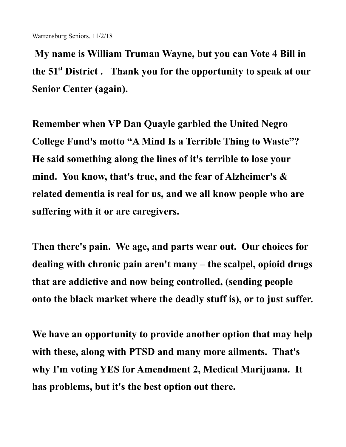**My name is William Truman Wayne, but you can Vote 4 Bill in the 51st District . Thank you for the opportunity to speak at our Senior Center (again).** 

**Remember when VP Dan Quayle garbled the United Negro College Fund's motto "A Mind Is a Terrible Thing to Waste"? He said something along the lines of it's terrible to lose your mind. You know, that's true, and the fear of Alzheimer's & related dementia is real for us, and we all know people who are suffering with it or are caregivers.**

**Then there's pain. We age, and parts wear out. Our choices for dealing with chronic pain aren't many – the scalpel, opioid drugs that are addictive and now being controlled, (sending people onto the black market where the deadly stuff is), or to just suffer.**

**We have an opportunity to provide another option that may help with these, along with PTSD and many more ailments. That's why I'm voting YES for Amendment 2, Medical Marijuana. It has problems, but it's the best option out there.**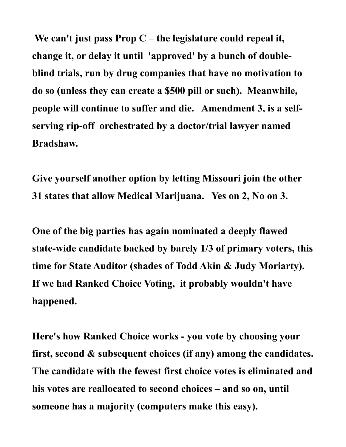**We can't just pass Prop C – the legislature could repeal it, change it, or delay it until 'approved' by a bunch of doubleblind trials, run by drug companies that have no motivation to do so (unless they can create a \$500 pill or such). Meanwhile, people will continue to suffer and die. Amendment 3, is a selfserving rip-off orchestrated by a doctor/trial lawyer named Bradshaw.**

**Give yourself another option by letting Missouri join the other 31 states that allow Medical Marijuana. Yes on 2, No on 3.** 

**One of the big parties has again nominated a deeply flawed state-wide candidate backed by barely 1/3 of primary voters, this time for State Auditor (shades of Todd Akin & Judy Moriarty). If we had Ranked Choice Voting, it probably wouldn't have happened.** 

**Here's how Ranked Choice works - you vote by choosing your first, second & subsequent choices (if any) among the candidates. The candidate with the fewest first choice votes is eliminated and his votes are reallocated to second choices – and so on, until someone has a majority (computers make this easy).**